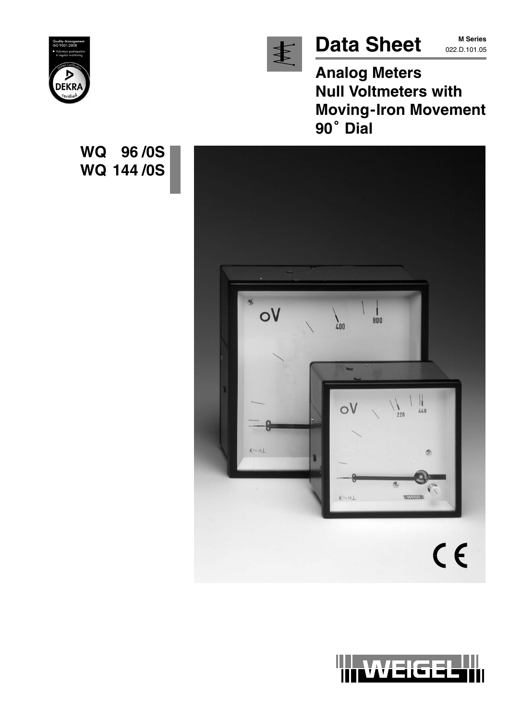

# Data Sheet MSeries

**M Series**

**Analog Meters Null Voltmeters with Moving-Iron Movement 90 Dial**



**WQ 96 /0S**

**WQ 144 /0S**



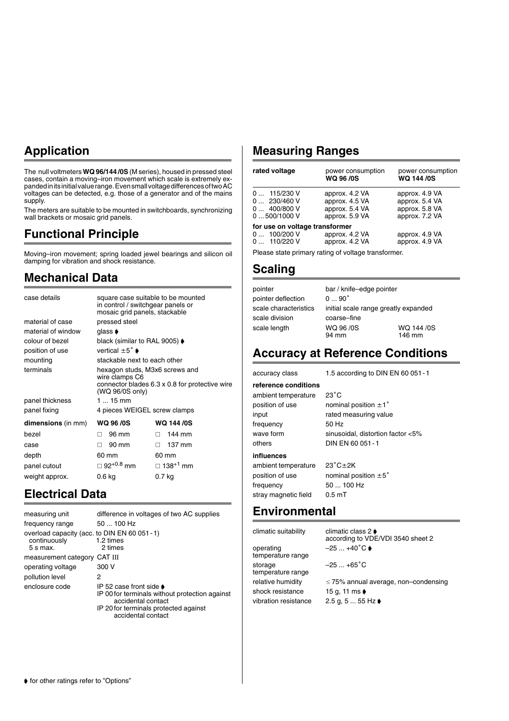#### **Application**

The null voltmeters **WQ 96/144 /0S** (M series), housed in pressed steel cases, contain a moving–iron movement which scale is extremely expanded in its initial value range. Even small voltage differences of two AC voltages can be detected, e.g. those of a generator and of the mains supply.

The meters are suitable to be mounted in switchboards, synchronizing wall brackets or mosaic grid panels.

#### **Functional Principle**

Moving–iron movement; spring loaded jewel bearings and silicon oil damping for vibration and shock resistance.

#### **Mechanical Data**

| case details              | in control / switchgear panels or<br>mosaic grid panels, stackable  | square case suitable to be mounted             |
|---------------------------|---------------------------------------------------------------------|------------------------------------------------|
| material of case          | pressed steel                                                       |                                                |
| material of window        | glass $\blacktriangleright$                                         |                                                |
| colour of bezel           | black (similar to RAL 9005) $\blacklozenge$                         |                                                |
| position of use           | vertical $\pm 5^{\circ}$ $\bullet$                                  |                                                |
| mounting                  | stackable next to each other                                        |                                                |
| terminals                 | hexagon studs, M3x6 screws and<br>wire clamps C6<br>(WQ 96/0S only) | connector blades 6.3 x 0.8 for protective wire |
| panel thickness           | 1  15 mm                                                            |                                                |
| panel fixing              | 4 pieces WEIGEL screw clamps                                        |                                                |
| <b>dimensions</b> (in mm) | <b>WQ 96 /0S</b>                                                    | <b>WQ 144/0S</b>                               |
| bezel                     | 96 mm<br>п                                                          | 144 mm<br>П.                                   |
| case                      | 90 mm<br>п                                                          | 137 mm<br>п.                                   |
| depth                     | 60 mm                                                               | 60 mm                                          |
| panel cutout              | $\Box$ 92 <sup>+0.8</sup> mm                                        | $\Box$ 138 <sup>+1</sup> mm                    |
| weight approx.            | 0.6 kg                                                              | 0.7 <sub>kg</sub>                              |

#### **Electrical Data**

| measuring unit                                                              | difference in voltages of two AC supplies                                                                                                                              |
|-----------------------------------------------------------------------------|------------------------------------------------------------------------------------------------------------------------------------------------------------------------|
| frequency range                                                             | 50  100 Hz                                                                                                                                                             |
| overload capacity (acc. to DIN EN 60 051 - 1)<br>continuously<br>$5 s$ max. | 1.2 times<br>2 times                                                                                                                                                   |
| measurement category CAT III                                                |                                                                                                                                                                        |
| operating voltage                                                           | 300 V                                                                                                                                                                  |
| pollution level                                                             | 2                                                                                                                                                                      |
| enclosure code                                                              | IP 52 case front side $\bullet$<br>IP 00 for terminals without protection against<br>accidental contact<br>IP 20 for terminals protected against<br>accidental contact |

#### **Measuring Ranges**

| rated voltage                                                 | power consumption<br><b>WQ 96/0S</b>                                 | power consumption<br><b>WQ 144/0S</b>                                |
|---------------------------------------------------------------|----------------------------------------------------------------------|----------------------------------------------------------------------|
| $0$ 115/230 V<br>0  230/460 V<br>0400/800V<br>0500/1000V      | approx. 4.2 VA<br>approx. 4.5 VA<br>approx. 5.4 VA<br>approx. 5.9 VA | approx. 4.9 VA<br>approx. 5.4 VA<br>approx. 5.8 VA<br>approx. 7.2 VA |
| for use on voltage transformer<br>0 100/200 V<br>0  110/220 V | approx. 4.2 VA<br>approx. 4.2 VA                                     | approx. 4.9 VA<br>approx. 4.9 VA                                     |
|                                                               | Dissex state walkers around a structure town afsair                  |                                                                      |

Please state primary rating of voltage transformer.

#### **Scaling**

| pointer               | bar / knife-edge pointer             |            |
|-----------------------|--------------------------------------|------------|
| pointer deflection    | $090^{\circ}$                        |            |
| scale characteristics | initial scale range greatly expanded |            |
| scale division        | coarse-fine                          |            |
| scale length          | WQ 96/0S                             | WQ 144 /0S |
|                       | 94 mm                                | 146 mm     |

#### **Accuracy at Reference Conditions**

accuracy class 1.5 according to DIN EN 60 051-1 **reference conditions** ambient temperature  $23^{\circ}$ C position of use nominal position  $\pm 1^{\circ}$ input rated measuring value frequency 50 Hz wave form sinusoidal, distortion factor <5% others DIN EN 60 051-1 **influences** ambient temperature  $23^{\circ}$ C $\pm$ 2K position of use nominal position  $\pm 5^{\circ}$ frequency 50 ... 100 Hz stray magnetic field 0.5 mT

#### **Environmental**

climatic suitability  $\qquad \qquad \text{climate class 2}$ operating  $-25 ... +40^\circ$ temperature range storage  $-25...+65^{\circ}$ C temperature range shock resistance 15 g, 11 ms vibration resistance  $2.5 g, 5 ... 55 Hz$ 

according to VDE/VDI 3540 sheet 2  $-25 ... +40^{\circ}C$ 

relative humidity  $\leq 75\%$  annual average, non–condensing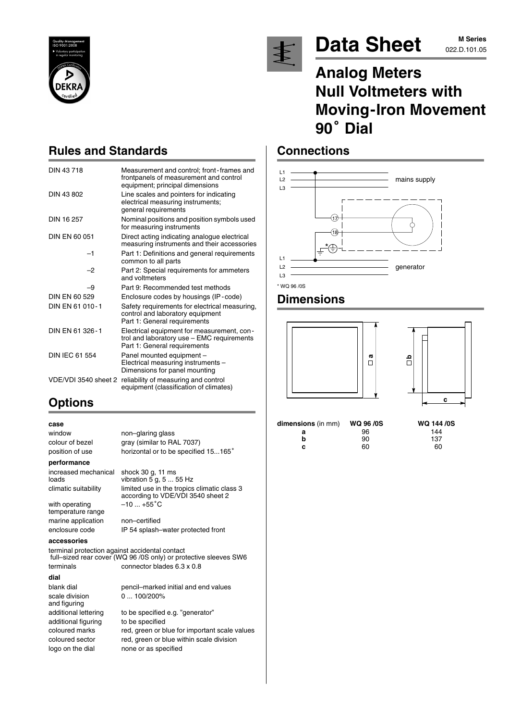



# Data Sheet M Series

# **M Series**

## **Analog Meters Null Voltmeters with Moving-Iron Movement** Null Vol<br>Moving<br>90<sup>°</sup> Dial

#### **Connections**



#### **Dimensions**





| dimensions (in mm) | <b>WQ 96 /0S</b> | <b>WQ 144</b> |
|--------------------|------------------|---------------|
| а                  | 96               | 144           |
| b                  | 90               | 137           |
| c                  | 60               | 60            |

## **Rules and Standards**

| DIN 43718             | Measurement and control; front-frames and<br>frontpanels of measurement and control<br>equipment; principal dimensions   |
|-----------------------|--------------------------------------------------------------------------------------------------------------------------|
| DIN 43 802            | Line scales and pointers for indicating<br>electrical measuring instruments;<br>general requirements                     |
| DIN 16 257            | Nominal positions and position symbols used<br>for measuring instruments                                                 |
| DIN EN 60 051         | Direct acting indicating analogue electrical<br>measuring instruments and their accessories                              |
| -1                    | Part 1: Definitions and general requirements<br>common to all parts                                                      |
| $-2$                  | Part 2: Special requirements for ammeters<br>and voltmeters                                                              |
| -9                    | Part 9: Recommended test methods                                                                                         |
| DIN EN 60 529         | Enclosure codes by housings (IP-code)                                                                                    |
| DIN EN 61 010-1       | Safety requirements for electrical measuring,<br>control and laboratory equipment<br>Part 1: General requirements        |
| DIN FN 61 326-1       | Electrical equipment for measurement, con-<br>trol and laboratory use - EMC requirements<br>Part 1: General requirements |
| <b>DIN IEC 61 554</b> | Panel mounted equipment -<br>Electrical measuring instruments -<br>Dimensions for panel mounting                         |
| VDE/VDI 3540 sheet 2  | reliability of measuring and control<br>equipment (classification of climates)                                           |

## **Options**

#### **case**

window non–glaring glass colour of bezel gray (similar to RAL 7037) position of use horizontal or to be specified 15...165° **performance** increased mechanical shock 30 g, 11 ms<br>loads with with  $\frac{1}{2}$  of  $\frac{5}{2}$ vibration  $5$  g, 5 ... 55 Hz climatic suitability limited use in the tropics climatic class 3 according to VDE/VDI 3540 sheet 2 with operating  $-10...+55^{\circ}C$ temperature range

marine application non–certified enclosure code IP 54 splash–water protected front

**accessories**

terminal protection against accidental contact full–sized rear cover (WQ 96 /0S only) or protective sleeves SW6 terminals connector blades 6.3 x 0.8 **dial**

blank dial pencil–marked initial and end values scale division 0 ... 100/200% and figuring additional lettering to be specified e.g. "generator" additional figuring to be specified coloured marks red, green or blue for important scale values coloured sector red, green or blue within scale division logo on the dial none or as specified